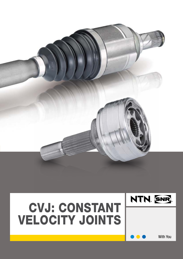

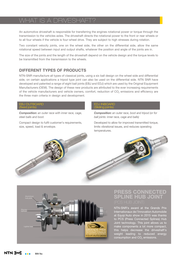### IS A DRIVESHAF

An automotive driveshaft is responsible for transferring the engines rotational power or torque through the transmission to the vehicles axles. The driveshaft directs the rotational power to the front or rear wheels or to all four wheels if the vehicle is four-wheel drive. They are subject to high stresses during rotation.

Two constant velocity joints, one on the wheel side, the other on the differential side, allow the same rotational speed between input and output shafts, whatever the position and angle of the joints are in.

The size of the joints and the length of the driveshaft depend on the vehicle design and the torque levels to be transmitted from the transmission to the wheels.

#### **Different types of products**

NTN-SNR manufacture all types of classical joints, using a six ball design on the wheel side and differential side, on certain applications a tripod type joint can also be used on the differential side. NTN SNR have developed and patented a range of eight ball joints (EBJ and EDJ) which are used by the Original Equipment Manufacturers (OEM). The design of these new products are attributed to the ever increasing requirements of the vehicle manufacturers and vehicle owners, comfort, reduction of CO<sub>2</sub> emissions and efficiency are the three main criteria in design and development.

#### EBJ Outboard (fixed joints)

*Composition: an outer race with inner race, cage, steel balls and boot.*

Compact design to fulfil customer's requirements, size, speed, load & envelope.

#### EDJ Inboard (Sliding joints)

*Composition: an outer race, boot and tripod (or for ball joints: inner race, cage and balls)*

Developed to allow for improved transmitted torque, limits vibrational issues, and reduces operating temperatures.





# **PRESS CONNECTED SPLINE HUB JO**

NTN-SNR's award at the Grands Prix Internationaux de l'Innovation Automobile at Equip'Auto show in 2015 was thanks to PCS (Press Connected Splines) Hub Joint technology. This joint allows us to make components a lot more compact, this helps decrease the driveshaft's weight leading to reduced energy consumption and CO<sub>2</sub> emissions.

**NTN.** SNR With You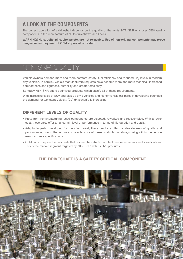# **A LOOK AT THE COMPONENTS**

The correct operation of a driveshaft depends on the quality of the joints, NTN SNR only uses OEM quality components in the manufacture of all its driveshaft's and CVJ's.

**WARNING! Nuts, bolts, pins, circlips etc. are not re-usable. Use of non-original components may prove dangerous as they are not OEM approved or tested.**

## NTN-SNR QUALITY

Vehicle owners demand more and more comfort, safety, fuel efficiency and reduced Co<sub>2</sub> levels in modern day vehicles. In parallel, vehicle manufacturers requests have become more and more technical: increased compactness and lightness, durability and greater efficiency.

So today NTN-SNR offers optimized products which satisfy all of these requirements.

With increasing sales of SUV and pick-up style vehicles and higher vehicle car parcs in developing countries the demand for Constant Velocity (CV) driveshaft's is increasing.

### **Different levels of quality**

- Parts from remanufacturing: used components are selected, reworked and reassembled. With a lower cost, these parts offer an uncertain level of performance in terms of life duration and quality.
- Adaptable parts: developed for the aftermarket, these products offer variable degrees of quality and performance, due to the technical characteristics of these products not always being within the vehicle manufacturers specifications.
- OEM parts: they are the only parts that respect the vehicle manufacturers requirements and specifications. This is the market segment targeted by NTN-SNR with its CVJ products.

### **The driveshaft is a safety critical component**

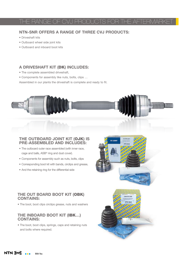# THE RANGE OF CVJ PRODUCTS FOR THE AFTERMAR

### **NTN-SNR offers a range of three CVJ products:**

- Driveshaft kits
- Outboard wheel side joint kits
- Outboard and inboard boot kits

#### **A driveshaft kit (**DK**) includes:**

- The complete assembled driveshaft,
- Components for assembly like nuts, bolts, clips …

Assembled in our plants the driveshaft is complete and ready to fit.



#### **The outboard joint kit (**OJK**) is pre-assembled and includes:**

- The outboard outer race assembled (with inner race, cage and balls, ASB® ring and dust cover).
- Components for assembly such as nuts, bolts, clips
- Corresponding boot kit with bands, circlips and grease,
- And the retaining ring for the differential side

### **The out board boot kit (**OBK**) contains:**

• The boot, boot clips circlips grease, nuts and washers

#### **The inboard boot kit (**IBK**…) contains:**

• The boot, boot clips, springs, caps and retaining nuts and bolts where required.



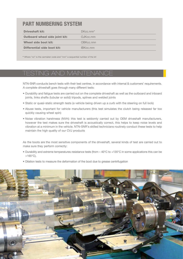## **PART NUMBERING SYSTEM**

| <b>Driveshaft kit:</b>                | $DKcc.nnn^*$ |
|---------------------------------------|--------------|
| <b>Outboard wheel side joint kit:</b> | OJKcc.nnn    |
| Wheel side boot kit:                  | OBKcc.nnn    |
| Differential side boot kit:           | IBKcc.nnn    |
|                                       |              |

\* Where "cc" is the carmaker code and "nnn" a sequential number of the kit

# **TESTING AND MAINTENANO**

NTN-SNR conducts bench tests with their test centres, in accordance with internal & customers' requirements. A complete driveshaft goes through many different tests:

- Durability and fatigue tests are carried out on the complete driveshaft as well as the outboard and inboard joints, links shafts (tubular or solid) tripods, splines and welded joints
- Static or quasi-static strength tests (a vehicle being driven up a curb with the steering on full lock)
- Abuse tests, important for vehicle manufacturers (this test simulates the clutch being released far too quickly causing wheel spin)
- Noise vibration harshness (NVH): this test is seldomly carried out by OEM driveshaft manufacturers, however the test makes sure the driveshaft is acoustically correct, this helps to keep noise levels and vibration at a minimum in the vehicle. NTN-SNR's skilled technicians routinely conduct these tests to help maintain the high quality of our CVJ products

As the boots are the most sensitive components of the driveshaft, several kinds of test are carried out to make sure they perform correctly:

- Durability and extreme temperatures resistance tests (from 40°C to +135°C in some applications this can be  $+165^{\circ}$ C).
- Dilation tests to measure the deformation of the boot due to grease centrifugation

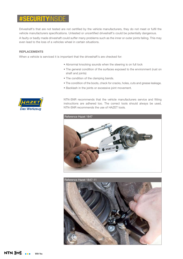### *SECURITYINS*

Driveshaft's that are not tested are not certified by the vehicle manufacturers, they do not meet or fulfil the vehicle manufacturers specifications. Untested or uncertified driveshaft's could be potentially dangerous.

A faulty or badly made driveshaft could suffer many problems such as the inner or outer joints failing. This may even lead to the loss of a vehicles wheel in certain situations.

#### **Replacements**

When a vehicle is serviced it is important that the driveshaft's are checked for:

- Abnormal knocking sounds when the steering is on full lock
- The general condition of the surfaces exposed to the environment (rust on shaft and joints)
- The condition of the clamping bands.
- The condition of the boots, check for cracks, holes, cuts and grease leakage.
- Backlash in the joints or excessive joint movement.



NTN-SNR recommends that the vehicle manufacturers service and fitting instructions are adhered too. The correct tools should always be used, NTN-SNR recommends the use of HAZET tools.



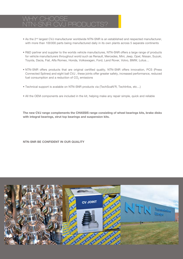### Why choose NTN-SNR CVJ products?

- As the 2<sup>nd</sup> largest CVJ manufacturer worldwide NTN-SNR is an established and respected manufacturer, with more than 100000 parts being manufactured daily in its own plants across 5 separate continents
- R&D partner and supplier to the worlds vehicle manufactures, NTN-SNR offers a large range of products for vehicle manufacturers throughout world such as Renault, Mercedes, Mini, Jeep, Opel, Nissan, Suzuki, Toyota, Dacia, Fiat, Alfa Romeo, Honda, Volkswagen, Ford, Land Rover, Volvo, BMW, Lotus…
- NTN-SNR offers products that are original certified quality, NTN-SNR offers innovation, PCS (Press Connected Splines) and eight ball CVJ , these joints offer greater safety, increased performance, reduced fuel consumption and a reduction of CO<sub>2</sub> emissions
- Technical support is avalable on NTN-SNR products via (TechScaN'R, TechInfos, etc…)
- All the OEM components are included in the kit, helping make any repair simple, quick and reliable

**The new CVJ range complements the CHASSIS range consisting of wheel bearings kits, brake disks with integral bearings, strut top bearings and suspension kits.**

**NTN-SNR be confident in our quality**